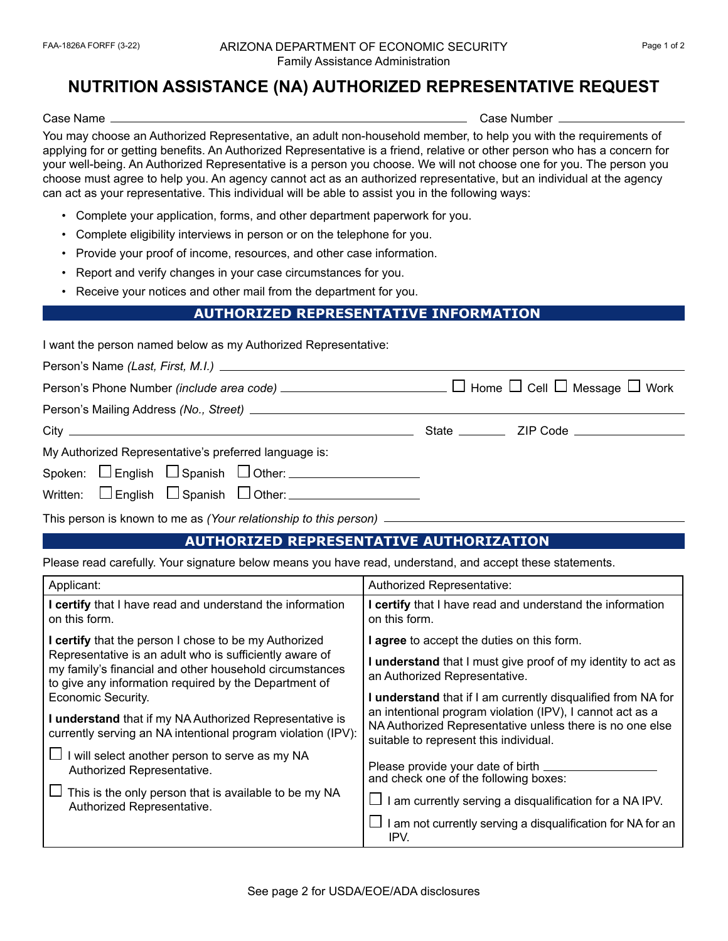## FAA-1826A FORFF (3-22) ARIZONA DEPARTMENT OF ECONOMIC SECURITY Page 1 of 2 Family Assistance Administration

## **NUTRITION ASSISTANCE (NA) AUTHORIZED REPRESENTATIVE REQUEST**

Case Name Case Number

You may choose an Authorized Representative, an adult non-household member, to help you with the requirements of applying for or getting benefits. An Authorized Representative is a friend, relative or other person who has a concern for your well-being. An Authorized Representative is a person you choose. We will not choose one for you. The person you choose must agree to help you. An agency cannot act as an authorized representative, but an individual at the agency can act as your representative. This individual will be able to assist you in the following ways:

- Complete your application, forms, and other department paperwork for you.
- Complete eligibility interviews in person or on the telephone for you.
- Provide your proof of income, resources, and other case information.
- Report and verify changes in your case circumstances for you.
- Receive your notices and other mail from the department for you.

## **AUTHORIZED REPRESENTATIVE INFORMATION**

| I want the person named below as my Authorized Representative: |  |  |
|----------------------------------------------------------------|--|--|
|                                                                |  |  |

| My Authorized Representative's preferred language is:                                   |  |
|-----------------------------------------------------------------------------------------|--|
| Spoken: $\Box$ English $\Box$ Spanish $\Box$ Other: $\Box$ $\Box$ $\Box$ $\Box$ $\Box$  |  |
| Written: $\Box$ English $\Box$ Spanish $\Box$ Other: __________________________________ |  |
|                                                                                         |  |

This person is known to me as *(Your relationship to this person)*

## **AUTHORIZED REPRESENTATIVE AUTHORIZATION**

Please read carefully. Your signature below means you have read, understand, and accept these statements.

| Applicant:                                                                                                                                                                  | Authorized Representative:                                                                                                                                      |
|-----------------------------------------------------------------------------------------------------------------------------------------------------------------------------|-----------------------------------------------------------------------------------------------------------------------------------------------------------------|
| I certify that I have read and understand the information<br>on this form.                                                                                                  | certify that I have read and understand the information<br>on this form.                                                                                        |
| I certify that the person I chose to be my Authorized                                                                                                                       | agree to accept the duties on this form.                                                                                                                        |
| Representative is an adult who is sufficiently aware of<br>my family's financial and other household circumstances<br>to give any information required by the Department of | understand that I must give proof of my identity to act as<br>an Authorized Representative.                                                                     |
| Economic Security.                                                                                                                                                          | I understand that if I am currently disqualified from NA for                                                                                                    |
| I understand that if my NA Authorized Representative is<br>currently serving an NA intentional program violation (IPV):                                                     | an intentional program violation (IPV), I cannot act as a<br>NA Authorized Representative unless there is no one else<br>suitable to represent this individual. |
| I will select another person to serve as my NA<br>Authorized Representative.                                                                                                | Please provide your date of birth<br>and check one of the following boxes:                                                                                      |
| This is the only person that is available to be my NA<br>Authorized Representative.                                                                                         | I am currently serving a disqualification for a NA IPV.                                                                                                         |
|                                                                                                                                                                             | I am not currently serving a disqualification for NA for an<br>IPV.                                                                                             |